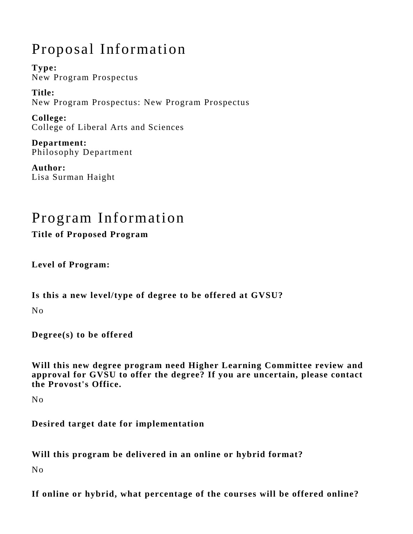## Proposal Information

**Type:** New Program Prospectus

**Title:** New Program Prospectus: New Program Prospectus

**College:** College of Liberal Arts and Sciences

**Department:** Philosophy Department

**Author:** Lisa Surman Haight

# Program Information

**Title of Proposed Program** 

**Level of Program:** 

**Is this a new level/type of degree to be offered at GVSU?** 

No

**Degree(s) to be offered** 

**Will this new degree program need Higher Learning Committee review and approval for GVSU to offer the degree? If you are uncertain, please contact the Provost's Office.** 

No

**Desired target date for implementation** 

**Will this program be delivered in an online or hybrid format?** 

No

**If online or hybrid, what percentage of the courses will be offered online?**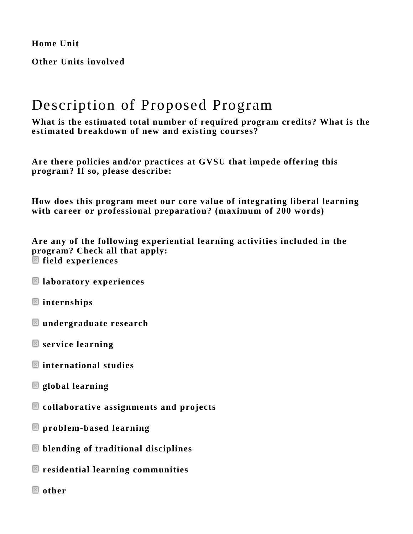**Home Unit** 

**Other Units involved** 

### Description of Proposed Program

**What is the estimated total number of required program credits? What is the estimated breakdown of new and existing courses?** 

**Are there policies and/or practices at GVSU that impede offering this program? If so, please describe:** 

**How does this program meet our core value of integrating liberal learning with career or professional preparation? (maximum of 200 words)** 

**Are any of the following experiential learning activities included in the program? Check all that apply: field experiences** 

- **laboratory experiences**
- **internships**
- **undergraduate research**
- **service learning**
- **international studies**
- **global learning**
- **collaborative assignments and projects**
- **problem-based learning**
- **blending of traditional disciplines**
- **residential learning communities**
- **other**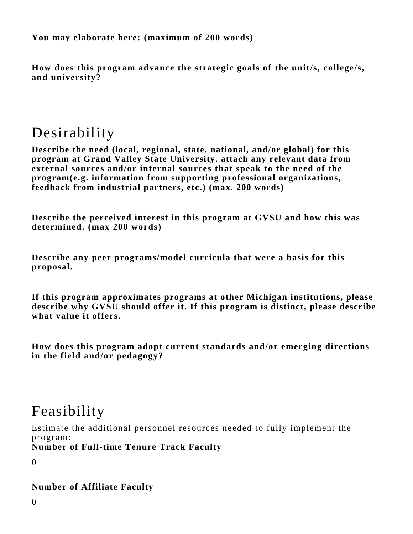**You may elaborate here: (maximum of 200 words)** 

**How does this program advance the strategic goals of the unit/s, college/s, and university?** 

## Desirability

**Describe the need (local, regional, state, national, and/or global) for this program at Grand Valley State University. attach any relevant data from external sources and/or internal sources that speak to the need of the program(e.g. information from supporting professional organizations, feedback from industrial partners, etc.) (max. 200 words)** 

**Describe the perceived interest in this program at GVSU and how this was determined. (max 200 words)** 

**Describe any peer programs/model curricula that were a basis for this proposal.** 

**If this program approximates programs at other Michigan institutions, please describe why GVSU should offer it. If this program is distinct, please describe what value it offers.** 

**How does this program adopt current standards and/or emerging directions in the field and/or pedagogy?** 

### Feasibility

Estimate the additional personnel resources needed to fully implement the program:

**Number of Full-time Tenure Track Faculty**

 $\Omega$ 

#### **Number of Affiliate Faculty**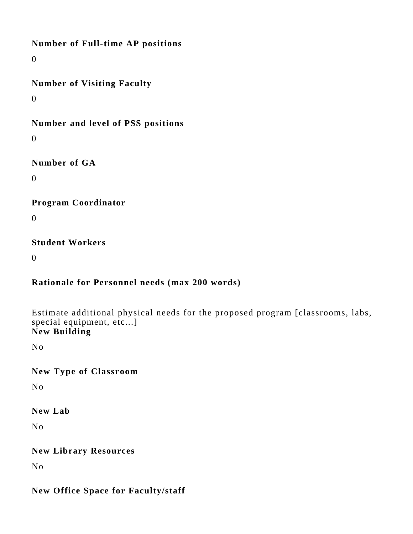**Number of Full-time AP positions**

0

**Number of Visiting Faculty**

0

**Number and level of PSS positions**

 $\Omega$ 

**Number of GA**

0

**Program Coordinator**

0

**Student Workers**

 $\Omega$ 

#### **Rationale for Personnel needs (max 200 words)**

Estimate additional physical needs for the proposed program [classrooms, labs, special equipment, etc...] **New Building**

No

**New Type of Classroom**

No

**New Lab**

No

**New Library Resources**

No

### **New Office Space for Faculty/staff**